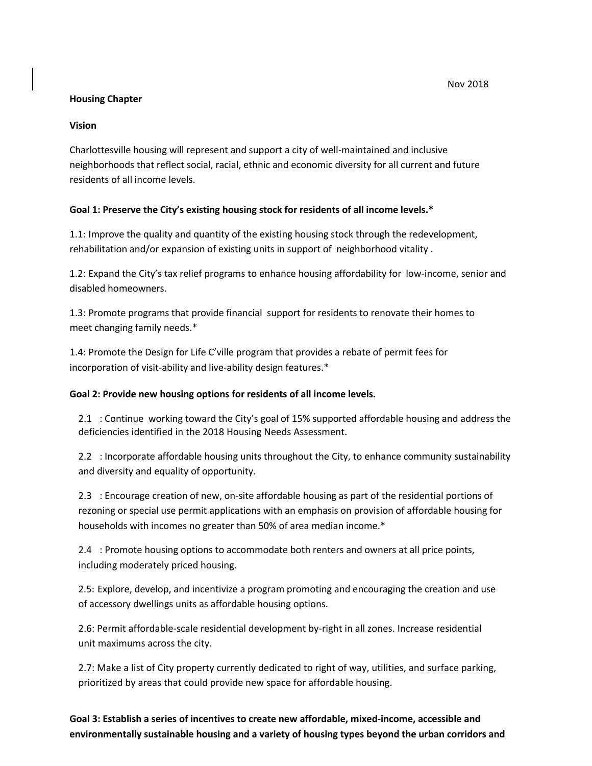#### Nov 2018

#### **Housing Chapter**

### **Vision**

Charlottesville housing will represent and support a city of well-maintained and inclusive neighborhoods that reflect social, racial, ethnic and economic diversity for all current and future residents of all income levels.

### **Goal 1: Preserve the City's existing housing stock for residents of all income levels.\***

1.1: Improve the quality and quantity of the existing housing stock through the redevelopment, rehabilitation and/or expansion of existing units in support of neighborhood vitality .

1.2: Expand the City's tax relief programs to enhance housing affordability for low-income, senior and disabled homeowners.

1.3: Promote programs that provide financial support for residents to renovate their homes to meet changing family needs.\*

1.4: Promote the Design for Life C'ville program that provides a rebate of permit fees for incorporation of visit-ability and live-ability design features.\*

#### **Goal 2: Provide new housing options for residents of all income levels.**

2.1 : Continue working toward the City's goal of 15% supported affordable housing and address the deficiencies identified in the 2018 Housing Needs Assessment.

2.2 : Incorporate affordable housing units throughout the City, to enhance community sustainability and diversity and equality of opportunity.

2.3 : Encourage creation of new, on-site affordable housing as part of the residential portions of rezoning or special use permit applications with an emphasis on provision of affordable housing for households with incomes no greater than 50% of area median income.\*

2.4 : Promote housing options to accommodate both renters and owners at all price points, including moderately priced housing.

2.5: Explore, develop, and incentivize a program promoting and encouraging the creation and use of accessory dwellings units as affordable housing options.

2.6: Permit affordable-scale residential development by-right in all zones. Increase residential unit maximums across the city.

2.7: Make a list of City property currently dedicated to right of way, utilities, and surface parking, prioritized by areas that could provide new space for affordable housing.

# **Goal 3: Establish a series of incentives to create new affordable, mixed-income, accessible and environmentally sustainable housing and a variety of housing types beyond the urban corridors and**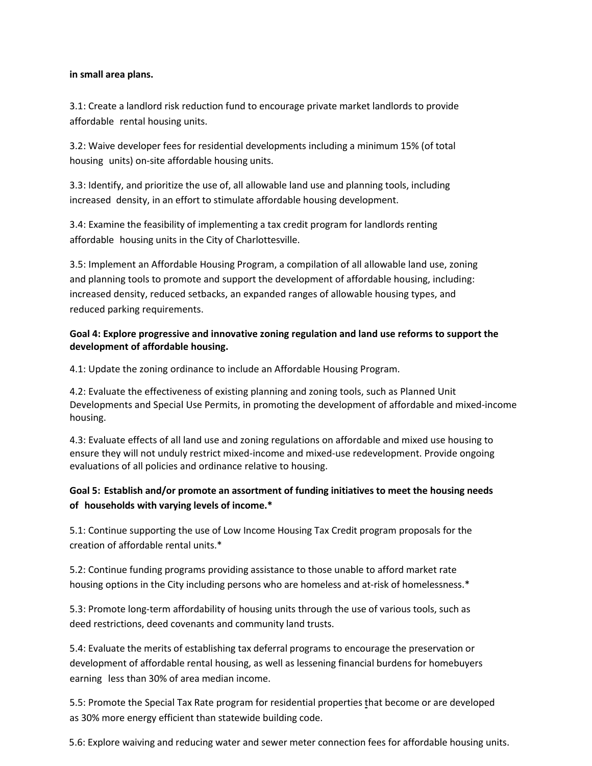#### **in small area plans.**

3.1: Create a landlord risk reduction fund to encourage private market landlords to provide affordable rental housing units.

3.2: Waive developer fees for residential developments including a minimum 15% (of total housing units) on-site affordable housing units.

3.3: Identify, and prioritize the use of, all allowable land use and planning tools, including increased density, in an effort to stimulate affordable housing development.

3.4: Examine the feasibility of implementing a tax credit program for landlords renting affordable housing units in the City of Charlottesville.

3.5: Implement an Affordable Housing Program, a compilation of all allowable land use, zoning and planning tools to promote and support the development of affordable housing, including: increased density, reduced setbacks, an expanded ranges of allowable housing types, and reduced parking requirements.

### **Goal 4: Explore progressive and innovative zoning regulation and land use reforms to support the development of affordable housing.**

4.1: Update the zoning ordinance to include an Affordable Housing Program.

4.2: Evaluate the effectiveness of existing planning and zoning tools, such as Planned Unit Developments and Special Use Permits, in promoting the development of affordable and mixed-income housing.

4.3: Evaluate effects of all land use and zoning regulations on affordable and mixed use housing to ensure they will not unduly restrict mixed-income and mixed-use redevelopment. Provide ongoing evaluations of all policies and ordinance relative to housing.

## **Goal 5: Establish and/or promote an assortment of funding initiatives to meet the housing needs of households with varying levels of income.\***

5.1: Continue supporting the use of Low Income Housing Tax Credit program proposals for the creation of affordable rental units.\*

5.2: Continue funding programs providing assistance to those unable to afford market rate housing options in the City including persons who are homeless and at-risk of homelessness.\*

5.3: Promote long-term affordability of housing units through the use of various tools, such as deed restrictions, deed covenants and community land trusts.

5.4: Evaluate the merits of establishing tax deferral programs to encourage the preservation or development of affordable rental housing, as well as lessening financial burdens for homebuyers earning less than 30% of area median income.

5.5: Promote the Special Tax Rate program for residential properties that become or are developed as 30% more energy efficient than statewide building code.

5.6: Explore waiving and reducing water and sewer meter connection fees for affordable housing units.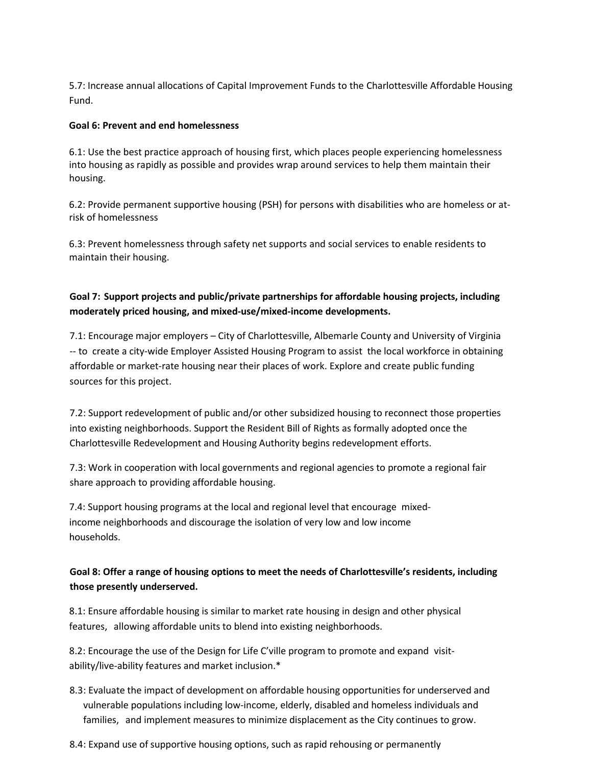5.7: Increase annual allocations of Capital Improvement Funds to the Charlottesville Affordable Housing Fund.

#### **Goal 6: Prevent and end homelessness**

6.1: Use the best practice approach of housing first, which places people experiencing homelessness into housing as rapidly as possible and provides wrap around services to help them maintain their housing.

6.2: Provide permanent supportive housing (PSH) for persons with disabilities who are homeless or atrisk of homelessness

6.3: Prevent homelessness through safety net supports and social services to enable residents to maintain their housing.

## **Goal 7: Support projects and public/private partnerships for affordable housing projects, including moderately priced housing, and mixed-use/mixed-income developments.**

7.1: Encourage major employers – City of Charlottesville, Albemarle County and University of Virginia -- to create a city-wide Employer Assisted Housing Program to assist the local workforce in obtaining affordable or market-rate housing near their places of work. Explore and create public funding sources for this project.

7.2: Support redevelopment of public and/or other subsidized housing to reconnect those properties into existing neighborhoods. Support the Resident Bill of Rights as formally adopted once the Charlottesville Redevelopment and Housing Authority begins redevelopment efforts.

7.3: Work in cooperation with local governments and regional agencies to promote a regional fair share approach to providing affordable housing.

7.4: Support housing programs at the local and regional level that encourage mixedincome neighborhoods and discourage the isolation of very low and low income households.

### **Goal 8: Offer a range of housing options to meet the needs of Charlottesville's residents, including those presently underserved.**

8.1: Ensure affordable housing is similar to market rate housing in design and other physical features, allowing affordable units to blend into existing neighborhoods.

8.2: Encourage the use of the Design for Life C'ville program to promote and expand visitability/live-ability features and market inclusion.\*

- 8.3: Evaluate the impact of development on affordable housing opportunities for underserved and vulnerable populations including low-income, elderly, disabled and homeless individuals and families, and implement measures to minimize displacement as the City continues to grow.
- 8.4: Expand use of supportive housing options, such as rapid rehousing or permanently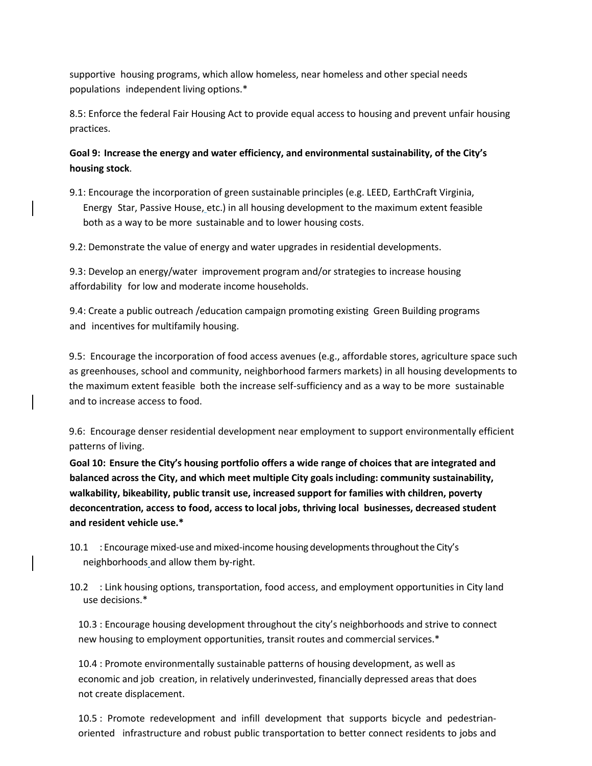supportive housing programs, which allow homeless, near homeless and other special needs populations independent living options.\*

8.5: Enforce the federal Fair Housing Act to provide equal access to housing and prevent unfair housing practices.

**Goal 9: Increase the energy and water efficiency, and environmental sustainability, of the City's housing stock**.

9.1: Encourage the incorporation of green sustainable principles (e.g. LEED, EarthCraft Virginia, Energy Star, Passive House, etc.) in all housing development to the maximum extent feasible both as a way to be more sustainable and to lower housing costs.

9.2: Demonstrate the value of energy and water upgrades in residential developments.

9.3: Develop an energy/water improvement program and/or strategies to increase housing affordability for low and moderate income households.

9.4: Create a public outreach /education campaign promoting existing Green Building programs and incentives for multifamily housing.

9.5: Encourage the incorporation of food access avenues (e.g., affordable stores, agriculture space such as greenhouses, school and community, neighborhood farmers markets) in all housing developments to the maximum extent feasible both the increase self-sufficiency and as a way to be more sustainable and to increase access to food.

9.6: Encourage denser residential development near employment to support environmentally efficient patterns of living.

**Goal 10: Ensure the City's housing portfolio offers a wide range of choices that are integrated and balanced across the City, and which meet multiple City goals including: community sustainability, walkability, bikeability, public transit use, increased support for families with children, poverty deconcentration, access to food, access to local jobs, thriving local businesses, decreased student and resident vehicle use.\***

- 10.1 : Encouragemixed-use and mixed-income housing developments throughoutthe City's neighborhoods and allow them by-right.
- 10.2 : Link housing options, transportation, food access, and employment opportunities in City land use decisions.\*

10.3 : Encourage housing development throughout the city's neighborhoods and strive to connect new housing to employment opportunities, transit routes and commercial services.\*

10.4 : Promote environmentally sustainable patterns of housing development, as well as economic and job creation, in relatively underinvested, financially depressed areas that does not create displacement.

10.5 : Promote redevelopment and infill development that supports bicycle and pedestrianoriented infrastructure and robust public transportation to better connect residents to jobs and